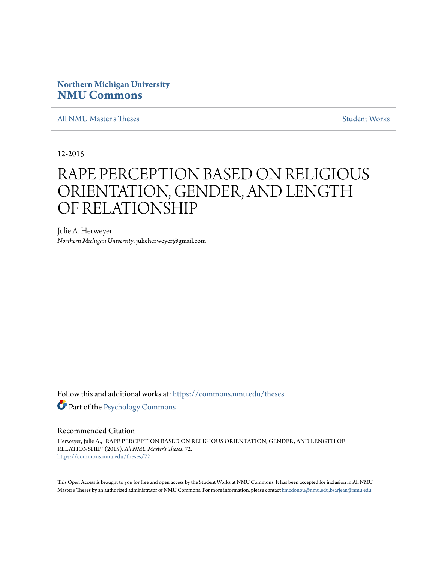## **Northern Michigan University [NMU Commons](https://commons.nmu.edu?utm_source=commons.nmu.edu%2Ftheses%2F72&utm_medium=PDF&utm_campaign=PDFCoverPages)**

[All NMU Master's Theses](https://commons.nmu.edu/theses?utm_source=commons.nmu.edu%2Ftheses%2F72&utm_medium=PDF&utm_campaign=PDFCoverPages) [Student Works](https://commons.nmu.edu/student_works?utm_source=commons.nmu.edu%2Ftheses%2F72&utm_medium=PDF&utm_campaign=PDFCoverPages)

12-2015

# RAPE PERCEPTION BASED ON RELIGIOUS ORIENTATION, GENDER, AND LENGTH OF RELATIONSHIP

Julie A. Herweyer *Northern Michigan University*, julieherweyer@gmail.com

Follow this and additional works at: [https://commons.nmu.edu/theses](https://commons.nmu.edu/theses?utm_source=commons.nmu.edu%2Ftheses%2F72&utm_medium=PDF&utm_campaign=PDFCoverPages) Part of the [Psychology Commons](http://network.bepress.com/hgg/discipline/404?utm_source=commons.nmu.edu%2Ftheses%2F72&utm_medium=PDF&utm_campaign=PDFCoverPages)

#### Recommended Citation

Herweyer, Julie A., "RAPE PERCEPTION BASED ON RELIGIOUS ORIENTATION, GENDER, AND LENGTH OF RELATIONSHIP" (2015). *All NMU Master's Theses*. 72. [https://commons.nmu.edu/theses/72](https://commons.nmu.edu/theses/72?utm_source=commons.nmu.edu%2Ftheses%2F72&utm_medium=PDF&utm_campaign=PDFCoverPages)

This Open Access is brought to you for free and open access by the Student Works at NMU Commons. It has been accepted for inclusion in All NMU Master's Theses by an authorized administrator of NMU Commons. For more information, please contact [kmcdonou@nmu.edu,bsarjean@nmu.edu.](mailto:kmcdonou@nmu.edu,bsarjean@nmu.edu)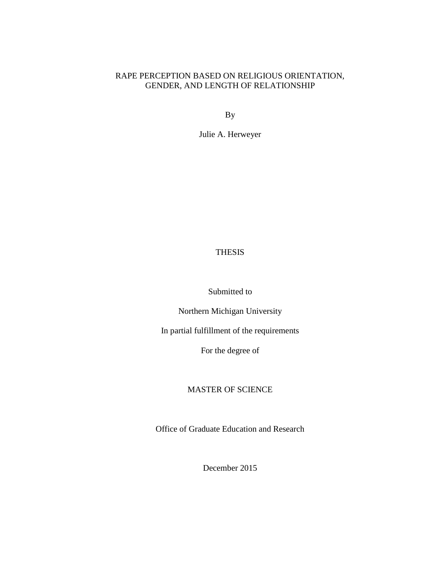## RAPE PERCEPTION BASED ON RELIGIOUS ORIENTATION, GENDER, AND LENGTH OF RELATIONSHIP

By

Julie A. Herweyer

## THESIS

Submitted to

Northern Michigan University

In partial fulfillment of the requirements

For the degree of

## MASTER OF SCIENCE

Office of Graduate Education and Research

December 2015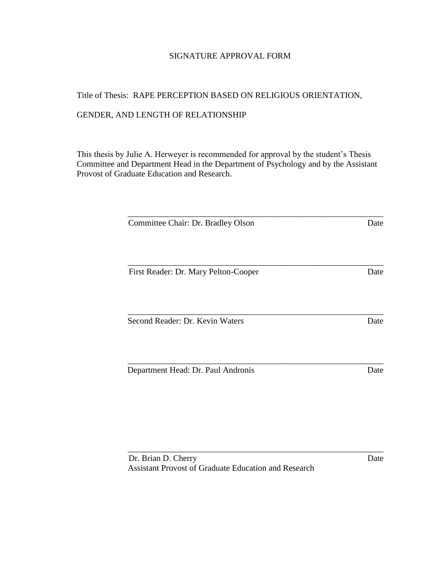## SIGNATURE APPROVAL FORM

# Title of Thesis: RAPE PERCEPTION BASED ON RELIGIOUS ORIENTATION, GENDER, AND LENGTH OF RELATIONSHIP

This thesis by Julie A. Herweyer is recommended for approval by the student's Thesis Committee and Department Head in the Department of Psychology and by the Assistant Provost of Graduate Education and Research.

| Committee Chair: Dr. Bradley Olson   | Date |
|--------------------------------------|------|
|                                      |      |
| First Reader: Dr. Mary Pelton-Cooper | Date |
| Second Reader: Dr. Kevin Waters      | Date |
|                                      |      |

\_\_\_\_\_\_\_\_\_\_\_\_\_\_\_\_\_\_\_\_\_\_\_\_\_\_\_\_\_\_\_\_\_\_\_\_\_\_\_\_\_\_\_\_\_\_\_\_\_\_\_\_\_\_\_\_\_\_\_\_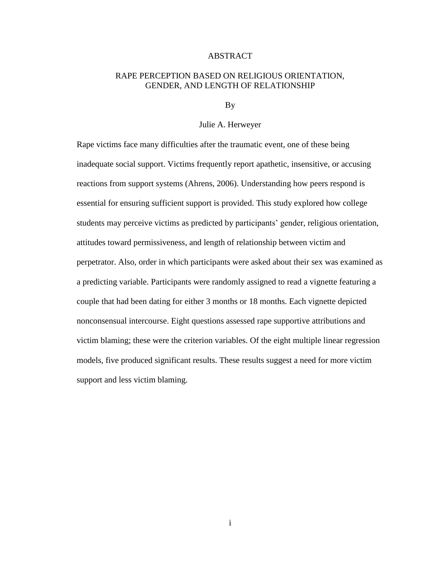#### ABSTRACT

## RAPE PERCEPTION BASED ON RELIGIOUS ORIENTATION, GENDER, AND LENGTH OF RELATIONSHIP

By

#### Julie A. Herweyer

Rape victims face many difficulties after the traumatic event, one of these being inadequate social support. Victims frequently report apathetic, insensitive, or accusing reactions from support systems (Ahrens, 2006). Understanding how peers respond is essential for ensuring sufficient support is provided. This study explored how college students may perceive victims as predicted by participants' gender, religious orientation, attitudes toward permissiveness, and length of relationship between victim and perpetrator. Also, order in which participants were asked about their sex was examined as a predicting variable. Participants were randomly assigned to read a vignette featuring a couple that had been dating for either 3 months or 18 months. Each vignette depicted nonconsensual intercourse. Eight questions assessed rape supportive attributions and victim blaming; these were the criterion variables. Of the eight multiple linear regression models, five produced significant results. These results suggest a need for more victim support and less victim blaming.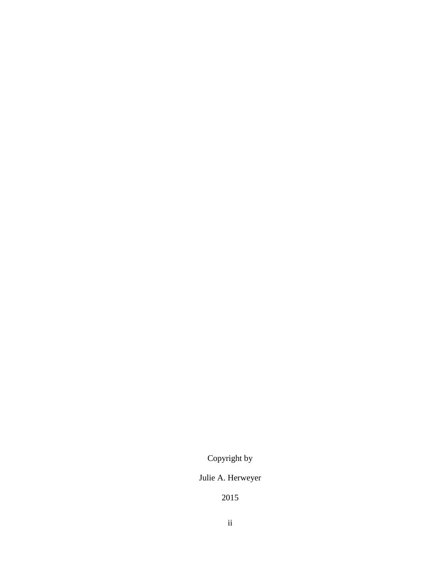## Copyright by

## Julie A. Herweyer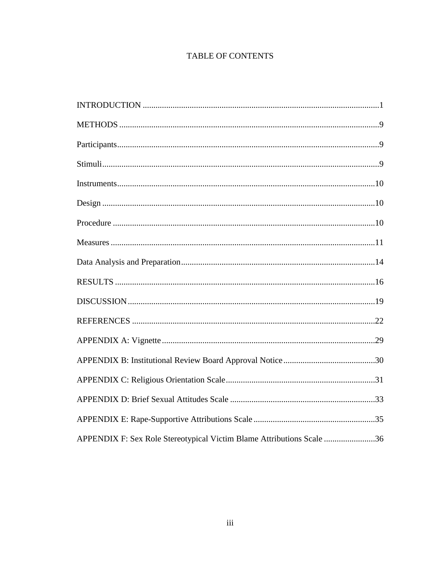## **TABLE OF CONTENTS**

| APPENDIX F: Sex Role Stereotypical Victim Blame Attributions Scale 36 |
|-----------------------------------------------------------------------|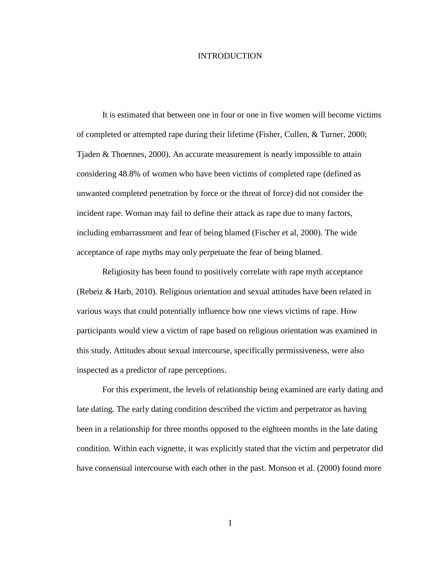#### INTRODUCTION

It is estimated that between one in four or one in five women will become victims of completed or attempted rape during their lifetime (Fisher, Cullen, & Turner, 2000; Tjaden & Thoennes, 2000). An accurate measurement is nearly impossible to attain considering 48.8% of women who have been victims of completed rape (defined as unwanted completed penetration by force or the threat of force) did not consider the incident rape. Woman may fail to define their attack as rape due to many factors, including embarrassment and fear of being blamed (Fischer et al, 2000). The wide acceptance of rape myths may only perpetuate the fear of being blamed.

Religiosity has been found to positively correlate with rape myth acceptance (Rebeiz & Harb, 2010). Religious orientation and sexual attitudes have been related in various ways that could potentially influence how one views victims of rape. How participants would view a victim of rape based on religious orientation was examined in this study. Attitudes about sexual intercourse, specifically permissiveness, were also inspected as a predictor of rape perceptions.

For this experiment, the levels of relationship being examined are early dating and late dating. The early dating condition described the victim and perpetrator as having been in a relationship for three months opposed to the eighteen months in the late dating condition. Within each vignette, it was explicitly stated that the victim and perpetrator did have consensual intercourse with each other in the past. Monson et al. (2000) found more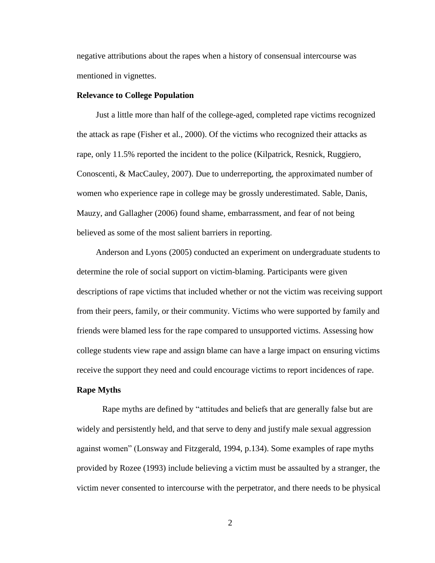negative attributions about the rapes when a history of consensual intercourse was mentioned in vignettes.

#### **Relevance to College Population**

Just a little more than half of the college-aged, completed rape victims recognized the attack as rape (Fisher et al., 2000). Of the victims who recognized their attacks as rape, only 11.5% reported the incident to the police (Kilpatrick, Resnick, Ruggiero, Conoscenti, & MacCauley, 2007). Due to underreporting, the approximated number of women who experience rape in college may be grossly underestimated. Sable, Danis, Mauzy, and Gallagher (2006) found shame, embarrassment, and fear of not being believed as some of the most salient barriers in reporting.

Anderson and Lyons (2005) conducted an experiment on undergraduate students to determine the role of social support on victim-blaming. Participants were given descriptions of rape victims that included whether or not the victim was receiving support from their peers, family, or their community. Victims who were supported by family and friends were blamed less for the rape compared to unsupported victims. Assessing how college students view rape and assign blame can have a large impact on ensuring victims receive the support they need and could encourage victims to report incidences of rape.

#### **Rape Myths**

Rape myths are defined by "attitudes and beliefs that are generally false but are widely and persistently held, and that serve to deny and justify male sexual aggression against women" (Lonsway and Fitzgerald, 1994, p.134). Some examples of rape myths provided by Rozee (1993) include believing a victim must be assaulted by a stranger, the victim never consented to intercourse with the perpetrator, and there needs to be physical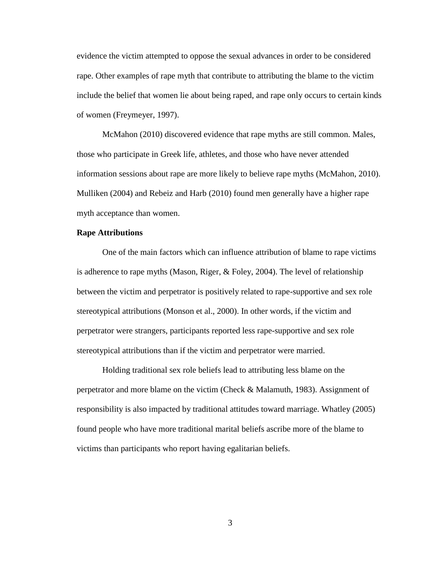evidence the victim attempted to oppose the sexual advances in order to be considered rape. Other examples of rape myth that contribute to attributing the blame to the victim include the belief that women lie about being raped, and rape only occurs to certain kinds of women (Freymeyer, 1997).

McMahon (2010) discovered evidence that rape myths are still common. Males, those who participate in Greek life, athletes, and those who have never attended information sessions about rape are more likely to believe rape myths (McMahon, 2010). Mulliken (2004) and Rebeiz and Harb (2010) found men generally have a higher rape myth acceptance than women.

#### **Rape Attributions**

One of the main factors which can influence attribution of blame to rape victims is adherence to rape myths (Mason, Riger,  $\&$  Foley, 2004). The level of relationship between the victim and perpetrator is positively related to rape-supportive and sex role stereotypical attributions (Monson et al., 2000). In other words, if the victim and perpetrator were strangers, participants reported less rape-supportive and sex role stereotypical attributions than if the victim and perpetrator were married.

Holding traditional sex role beliefs lead to attributing less blame on the perpetrator and more blame on the victim (Check & Malamuth, 1983). Assignment of responsibility is also impacted by traditional attitudes toward marriage. Whatley (2005) found people who have more traditional marital beliefs ascribe more of the blame to victims than participants who report having egalitarian beliefs.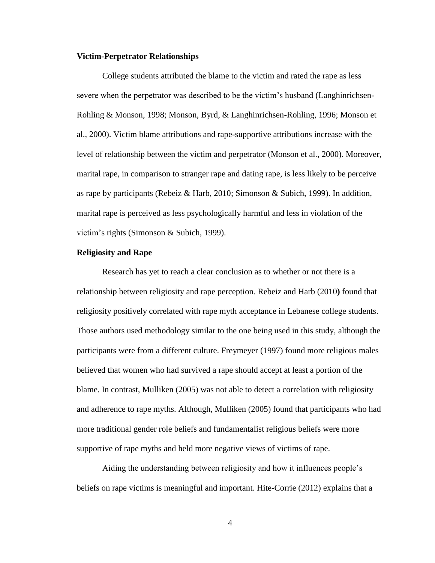#### **Victim-Perpetrator Relationships**

College students attributed the blame to the victim and rated the rape as less severe when the perpetrator was described to be the victim's husband (Langhinrichsen-Rohling & Monson, 1998; Monson, Byrd, & Langhinrichsen-Rohling, 1996; Monson et al., 2000). Victim blame attributions and rape-supportive attributions increase with the level of relationship between the victim and perpetrator (Monson et al., 2000). Moreover, marital rape, in comparison to stranger rape and dating rape, is less likely to be perceive as rape by participants (Rebeiz & Harb, 2010; Simonson & Subich, 1999). In addition, marital rape is perceived as less psychologically harmful and less in violation of the victim's rights (Simonson & Subich, 1999).

#### **Religiosity and Rape**

Research has yet to reach a clear conclusion as to whether or not there is a relationship between religiosity and rape perception. Rebeiz and Harb (2010**)** found that religiosity positively correlated with rape myth acceptance in Lebanese college students. Those authors used methodology similar to the one being used in this study, although the participants were from a different culture. Freymeyer (1997) found more religious males believed that women who had survived a rape should accept at least a portion of the blame. In contrast, Mulliken (2005) was not able to detect a correlation with religiosity and adherence to rape myths. Although, Mulliken (2005) found that participants who had more traditional gender role beliefs and fundamentalist religious beliefs were more supportive of rape myths and held more negative views of victims of rape.

Aiding the understanding between religiosity and how it influences people's beliefs on rape victims is meaningful and important. Hite-Corrie (2012) explains that a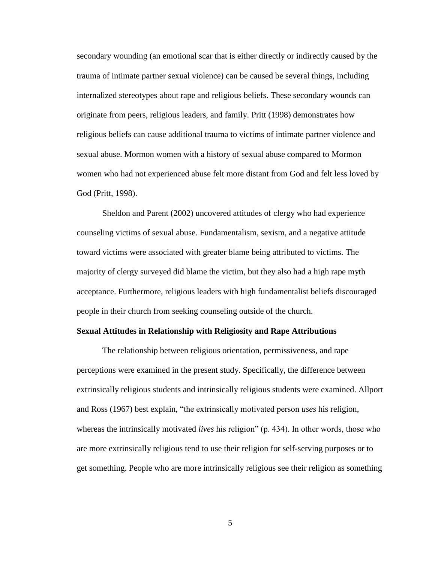secondary wounding (an emotional scar that is either directly or indirectly caused by the trauma of intimate partner sexual violence) can be caused be several things, including internalized stereotypes about rape and religious beliefs. These secondary wounds can originate from peers, religious leaders, and family. Pritt (1998) demonstrates how religious beliefs can cause additional trauma to victims of intimate partner violence and sexual abuse. Mormon women with a history of sexual abuse compared to Mormon women who had not experienced abuse felt more distant from God and felt less loved by God (Pritt, 1998).

Sheldon and Parent (2002) uncovered attitudes of clergy who had experience counseling victims of sexual abuse. Fundamentalism, sexism, and a negative attitude toward victims were associated with greater blame being attributed to victims. The majority of clergy surveyed did blame the victim, but they also had a high rape myth acceptance. Furthermore, religious leaders with high fundamentalist beliefs discouraged people in their church from seeking counseling outside of the church.

#### **Sexual Attitudes in Relationship with Religiosity and Rape Attributions**

The relationship between religious orientation, permissiveness, and rape perceptions were examined in the present study. Specifically, the difference between extrinsically religious students and intrinsically religious students were examined. Allport and Ross (1967) best explain, "the extrinsically motivated person *uses* his religion, whereas the intrinsically motivated *lives* his religion" (p. 434). In other words, those who are more extrinsically religious tend to use their religion for self-serving purposes or to get something. People who are more intrinsically religious see their religion as something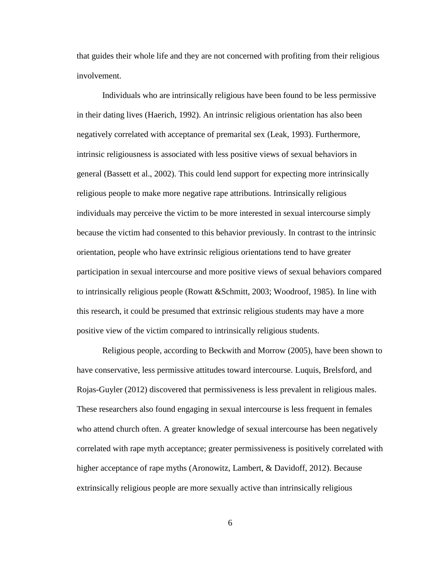that guides their whole life and they are not concerned with profiting from their religious involvement.

Individuals who are intrinsically religious have been found to be less permissive in their dating lives (Haerich, 1992). An intrinsic religious orientation has also been negatively correlated with acceptance of premarital sex (Leak, 1993). Furthermore, intrinsic religiousness is associated with less positive views of sexual behaviors in general (Bassett et al., 2002). This could lend support for expecting more intrinsically religious people to make more negative rape attributions. Intrinsically religious individuals may perceive the victim to be more interested in sexual intercourse simply because the victim had consented to this behavior previously. In contrast to the intrinsic orientation, people who have extrinsic religious orientations tend to have greater participation in sexual intercourse and more positive views of sexual behaviors compared to intrinsically religious people (Rowatt &Schmitt, 2003; Woodroof, 1985). In line with this research, it could be presumed that extrinsic religious students may have a more positive view of the victim compared to intrinsically religious students.

Religious people, according to Beckwith and Morrow (2005), have been shown to have conservative, less permissive attitudes toward intercourse. Luquis, Brelsford, and Rojas-Guyler (2012) discovered that permissiveness is less prevalent in religious males. These researchers also found engaging in sexual intercourse is less frequent in females who attend church often. A greater knowledge of sexual intercourse has been negatively correlated with rape myth acceptance; greater permissiveness is positively correlated with higher acceptance of rape myths (Aronowitz, Lambert, & Davidoff, 2012). Because extrinsically religious people are more sexually active than intrinsically religious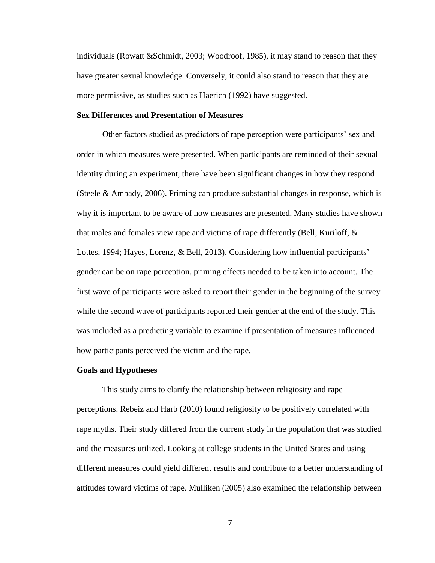individuals (Rowatt &Schmidt, 2003; Woodroof, 1985), it may stand to reason that they have greater sexual knowledge. Conversely, it could also stand to reason that they are more permissive, as studies such as Haerich (1992) have suggested.

#### **Sex Differences and Presentation of Measures**

Other factors studied as predictors of rape perception were participants' sex and order in which measures were presented. When participants are reminded of their sexual identity during an experiment, there have been significant changes in how they respond (Steele & Ambady, 2006). Priming can produce substantial changes in response, which is why it is important to be aware of how measures are presented. Many studies have shown that males and females view rape and victims of rape differently (Bell, Kuriloff, & Lottes, 1994; Hayes, Lorenz, & Bell, 2013). Considering how influential participants' gender can be on rape perception, priming effects needed to be taken into account. The first wave of participants were asked to report their gender in the beginning of the survey while the second wave of participants reported their gender at the end of the study. This was included as a predicting variable to examine if presentation of measures influenced how participants perceived the victim and the rape.

#### **Goals and Hypotheses**

This study aims to clarify the relationship between religiosity and rape perceptions. Rebeiz and Harb (2010) found religiosity to be positively correlated with rape myths. Their study differed from the current study in the population that was studied and the measures utilized. Looking at college students in the United States and using different measures could yield different results and contribute to a better understanding of attitudes toward victims of rape. Mulliken (2005) also examined the relationship between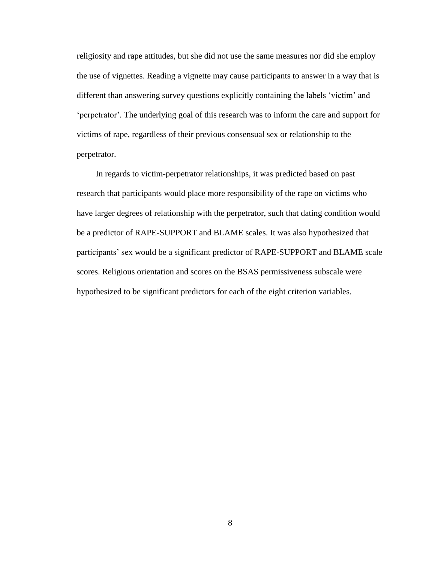religiosity and rape attitudes, but she did not use the same measures nor did she employ the use of vignettes. Reading a vignette may cause participants to answer in a way that is different than answering survey questions explicitly containing the labels 'victim' and 'perpetrator'. The underlying goal of this research was to inform the care and support for victims of rape, regardless of their previous consensual sex or relationship to the perpetrator.

In regards to victim-perpetrator relationships, it was predicted based on past research that participants would place more responsibility of the rape on victims who have larger degrees of relationship with the perpetrator, such that dating condition would be a predictor of RAPE-SUPPORT and BLAME scales. It was also hypothesized that participants' sex would be a significant predictor of RAPE-SUPPORT and BLAME scale scores. Religious orientation and scores on the BSAS permissiveness subscale were hypothesized to be significant predictors for each of the eight criterion variables.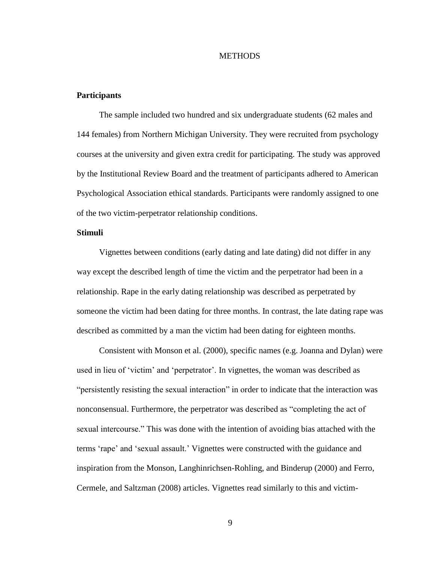#### **METHODS**

#### **Participants**

The sample included two hundred and six undergraduate students (62 males and 144 females) from Northern Michigan University. They were recruited from psychology courses at the university and given extra credit for participating. The study was approved by the Institutional Review Board and the treatment of participants adhered to American Psychological Association ethical standards. Participants were randomly assigned to one of the two victim-perpetrator relationship conditions.

## **Stimuli**

Vignettes between conditions (early dating and late dating) did not differ in any way except the described length of time the victim and the perpetrator had been in a relationship. Rape in the early dating relationship was described as perpetrated by someone the victim had been dating for three months. In contrast, the late dating rape was described as committed by a man the victim had been dating for eighteen months.

Consistent with Monson et al. (2000), specific names (e.g. Joanna and Dylan) were used in lieu of 'victim' and 'perpetrator'. In vignettes, the woman was described as "persistently resisting the sexual interaction" in order to indicate that the interaction was nonconsensual. Furthermore, the perpetrator was described as "completing the act of sexual intercourse." This was done with the intention of avoiding bias attached with the terms 'rape' and 'sexual assault.' Vignettes were constructed with the guidance and inspiration from the Monson, Langhinrichsen-Rohling, and Binderup (2000) and Ferro, Cermele, and Saltzman (2008) articles. Vignettes read similarly to this and victim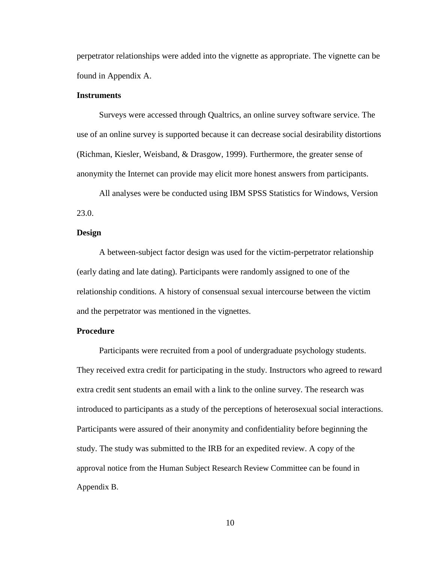perpetrator relationships were added into the vignette as appropriate. The vignette can be found in Appendix A.

#### **Instruments**

Surveys were accessed through Qualtrics, an online survey software service. The use of an online survey is supported because it can decrease social desirability distortions (Richman, Kiesler, Weisband, & Drasgow, 1999). Furthermore, the greater sense of anonymity the Internet can provide may elicit more honest answers from participants.

All analyses were be conducted using IBM SPSS Statistics for Windows, Version 23.0.

#### **Design**

A between-subject factor design was used for the victim-perpetrator relationship (early dating and late dating). Participants were randomly assigned to one of the relationship conditions. A history of consensual sexual intercourse between the victim and the perpetrator was mentioned in the vignettes.

#### **Procedure**

Participants were recruited from a pool of undergraduate psychology students. They received extra credit for participating in the study. Instructors who agreed to reward extra credit sent students an email with a link to the online survey. The research was introduced to participants as a study of the perceptions of heterosexual social interactions. Participants were assured of their anonymity and confidentiality before beginning the study. The study was submitted to the IRB for an expedited review. A copy of the approval notice from the Human Subject Research Review Committee can be found in Appendix B.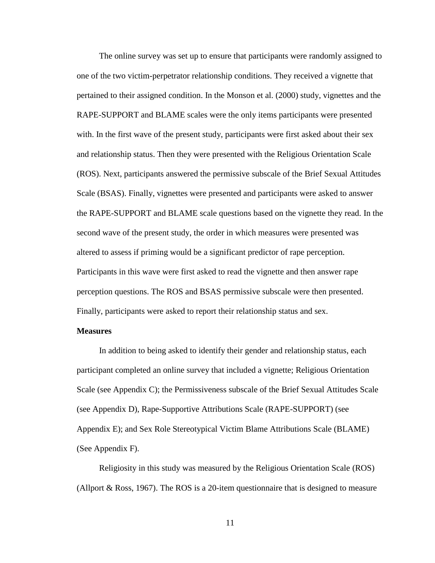The online survey was set up to ensure that participants were randomly assigned to one of the two victim-perpetrator relationship conditions. They received a vignette that pertained to their assigned condition. In the Monson et al. (2000) study, vignettes and the RAPE-SUPPORT and BLAME scales were the only items participants were presented with. In the first wave of the present study, participants were first asked about their sex and relationship status. Then they were presented with the Religious Orientation Scale (ROS). Next, participants answered the permissive subscale of the Brief Sexual Attitudes Scale (BSAS). Finally, vignettes were presented and participants were asked to answer the RAPE-SUPPORT and BLAME scale questions based on the vignette they read. In the second wave of the present study, the order in which measures were presented was altered to assess if priming would be a significant predictor of rape perception. Participants in this wave were first asked to read the vignette and then answer rape perception questions. The ROS and BSAS permissive subscale were then presented. Finally, participants were asked to report their relationship status and sex.

#### **Measures**

In addition to being asked to identify their gender and relationship status, each participant completed an online survey that included a vignette; Religious Orientation Scale (see Appendix C); the Permissiveness subscale of the Brief Sexual Attitudes Scale (see Appendix D), Rape-Supportive Attributions Scale (RAPE-SUPPORT) (see Appendix E); and Sex Role Stereotypical Victim Blame Attributions Scale (BLAME) (See Appendix F).

Religiosity in this study was measured by the Religious Orientation Scale (ROS) (Allport & Ross, 1967). The ROS is a 20-item questionnaire that is designed to measure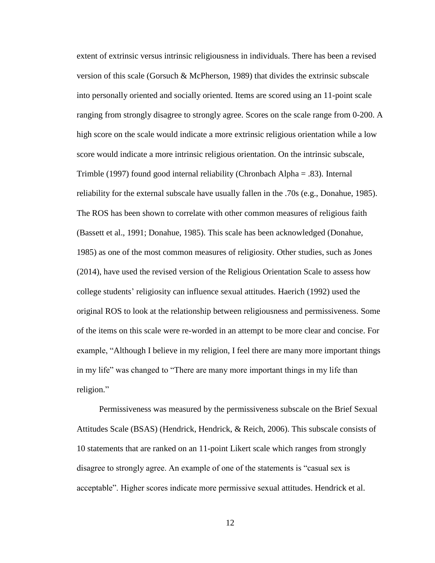extent of extrinsic versus intrinsic religiousness in individuals. There has been a revised version of this scale (Gorsuch & McPherson, 1989) that divides the extrinsic subscale into personally oriented and socially oriented. Items are scored using an 11-point scale ranging from strongly disagree to strongly agree. Scores on the scale range from 0-200. A high score on the scale would indicate a more extrinsic religious orientation while a low score would indicate a more intrinsic religious orientation. On the intrinsic subscale, Trimble (1997) found good internal reliability (Chronbach Alpha = .83). Internal reliability for the external subscale have usually fallen in the .70s (e.g., Donahue, 1985). The ROS has been shown to correlate with other common measures of religious faith (Bassett et al., 1991; Donahue, 1985). This scale has been acknowledged (Donahue, 1985) as one of the most common measures of religiosity. Other studies, such as Jones (2014), have used the revised version of the Religious Orientation Scale to assess how college students' religiosity can influence sexual attitudes. Haerich (1992) used the original ROS to look at the relationship between religiousness and permissiveness. Some of the items on this scale were re-worded in an attempt to be more clear and concise. For example, "Although I believe in my religion, I feel there are many more important things in my life" was changed to "There are many more important things in my life than religion."

Permissiveness was measured by the permissiveness subscale on the Brief Sexual Attitudes Scale (BSAS) (Hendrick, Hendrick, & Reich, 2006). This subscale consists of 10 statements that are ranked on an 11-point Likert scale which ranges from strongly disagree to strongly agree. An example of one of the statements is "casual sex is acceptable". Higher scores indicate more permissive sexual attitudes. Hendrick et al.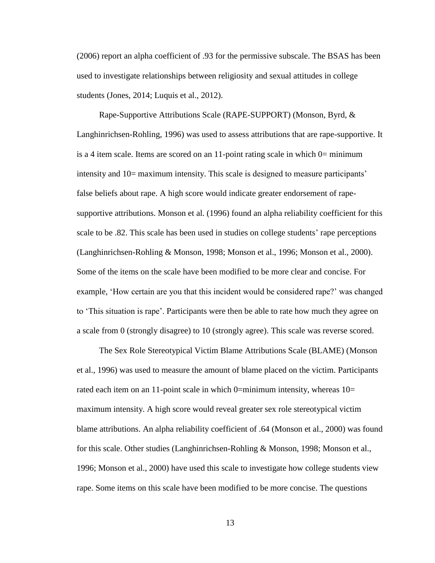(2006) report an alpha coefficient of .93 for the permissive subscale. The BSAS has been used to investigate relationships between religiosity and sexual attitudes in college students (Jones, 2014; Luquis et al., 2012).

Rape-Supportive Attributions Scale (RAPE-SUPPORT) (Monson, Byrd, & Langhinrichsen-Rohling, 1996) was used to assess attributions that are rape-supportive. It is a 4 item scale. Items are scored on an  $11$ -point rating scale in which  $0=$  minimum intensity and 10= maximum intensity. This scale is designed to measure participants' false beliefs about rape. A high score would indicate greater endorsement of rapesupportive attributions. Monson et al. (1996) found an alpha reliability coefficient for this scale to be .82. This scale has been used in studies on college students' rape perceptions (Langhinrichsen-Rohling & Monson, 1998; Monson et al., 1996; Monson et al., 2000). Some of the items on the scale have been modified to be more clear and concise. For example, 'How certain are you that this incident would be considered rape?' was changed to 'This situation is rape'. Participants were then be able to rate how much they agree on a scale from 0 (strongly disagree) to 10 (strongly agree). This scale was reverse scored.

The Sex Role Stereotypical Victim Blame Attributions Scale (BLAME) (Monson et al., 1996) was used to measure the amount of blame placed on the victim. Participants rated each item on an 11-point scale in which  $0=$ minimum intensity, whereas  $10=$ maximum intensity. A high score would reveal greater sex role stereotypical victim blame attributions. An alpha reliability coefficient of .64 (Monson et al., 2000) was found for this scale. Other studies (Langhinrichsen-Rohling & Monson, 1998; Monson et al., 1996; Monson et al., 2000) have used this scale to investigate how college students view rape. Some items on this scale have been modified to be more concise. The questions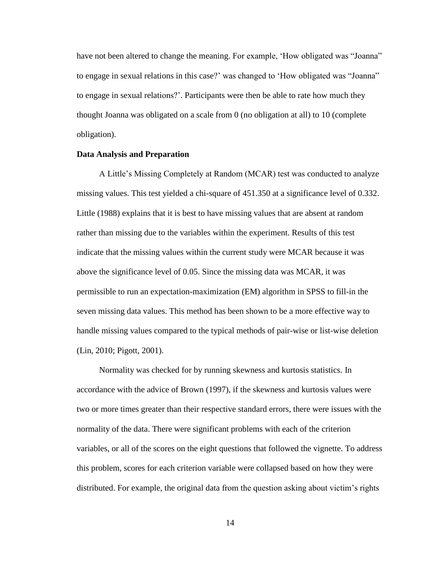have not been altered to change the meaning. For example, 'How obligated was "Joanna" to engage in sexual relations in this case?' was changed to 'How obligated was "Joanna" to engage in sexual relations?'. Participants were then be able to rate how much they thought Joanna was obligated on a scale from 0 (no obligation at all) to 10 (complete obligation).

#### **Data Analysis and Preparation**

A Little's Missing Completely at Random (MCAR) test was conducted to analyze missing values. This test yielded a chi-square of 451.350 at a significance level of 0.332. Little (1988) explains that it is best to have missing values that are absent at random rather than missing due to the variables within the experiment. Results of this test indicate that the missing values within the current study were MCAR because it was above the significance level of 0.05. Since the missing data was MCAR, it was permissible to run an expectation-maximization (EM) algorithm in SPSS to fill-in the seven missing data values. This method has been shown to be a more effective way to handle missing values compared to the typical methods of pair-wise or list-wise deletion (Lin, 2010; Pigott, 2001).

Normality was checked for by running skewness and kurtosis statistics. In accordance with the advice of Brown (1997), if the skewness and kurtosis values were two or more times greater than their respective standard errors, there were issues with the normality of the data. There were significant problems with each of the criterion variables, or all of the scores on the eight questions that followed the vignette. To address this problem, scores for each criterion variable were collapsed based on how they were distributed. For example, the original data from the question asking about victim's rights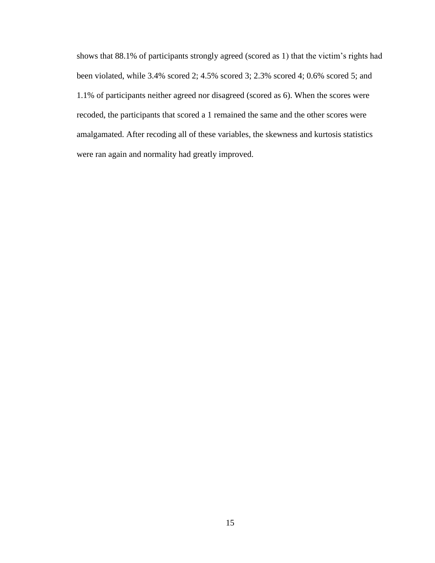shows that 88.1% of participants strongly agreed (scored as 1) that the victim's rights had been violated, while 3.4% scored 2; 4.5% scored 3; 2.3% scored 4; 0.6% scored 5; and 1.1% of participants neither agreed nor disagreed (scored as 6). When the scores were recoded, the participants that scored a 1 remained the same and the other scores were amalgamated. After recoding all of these variables, the skewness and kurtosis statistics were ran again and normality had greatly improved.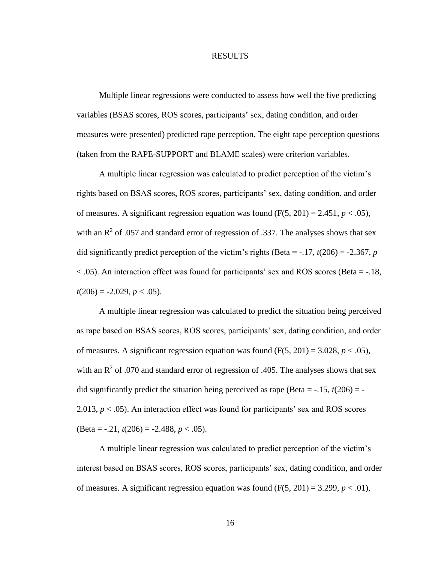#### RESULTS

Multiple linear regressions were conducted to assess how well the five predicting variables (BSAS scores, ROS scores, participants' sex, dating condition, and order measures were presented) predicted rape perception. The eight rape perception questions (taken from the RAPE-SUPPORT and BLAME scales) were criterion variables.

A multiple linear regression was calculated to predict perception of the victim's rights based on BSAS scores, ROS scores, participants' sex, dating condition, and order of measures. A significant regression equation was found  $(F(5, 201) = 2.451, p < .05)$ , with an  $\mathbb{R}^2$  of .057 and standard error of regression of .337. The analyses shows that sex did significantly predict perception of the victim's rights (Beta =  $-17$ ,  $t(206) = -2.367$ , *p* < .05). An interaction effect was found for participants' sex and ROS scores (Beta = -.18,  $t(206) = -2.029, p < .05$ ).

A multiple linear regression was calculated to predict the situation being perceived as rape based on BSAS scores, ROS scores, participants' sex, dating condition, and order of measures. A significant regression equation was found  $(F(5, 201) = 3.028, p < .05)$ , with an  $\mathbb{R}^2$  of .070 and standard error of regression of .405. The analyses shows that sex did significantly predict the situation being perceived as rape (Beta =  $-0.15$ ,  $t(206) = -0.15$ 2.013,  $p < .05$ ). An interaction effect was found for participants' sex and ROS scores (Beta = -.21, *t*(206) = -2.488, *p* < .05).

A multiple linear regression was calculated to predict perception of the victim's interest based on BSAS scores, ROS scores, participants' sex, dating condition, and order of measures. A significant regression equation was found  $(F(5, 201) = 3.299, p < .01)$ ,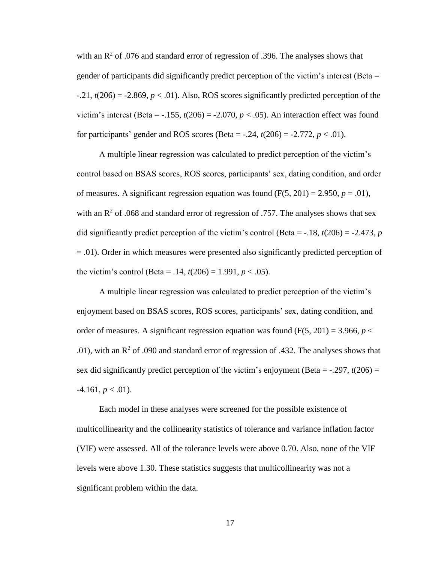with an  $\mathbb{R}^2$  of .076 and standard error of regression of .396. The analyses shows that gender of participants did significantly predict perception of the victim's interest (Beta =  $-0.21$ ,  $t(206) = -2.869$ ,  $p < 0.01$ ). Also, ROS scores significantly predicted perception of the victim's interest (Beta =  $-0.155$ ,  $t(206) = -2.070$ ,  $p < 0.05$ ). An interaction effect was found for participants' gender and ROS scores (Beta =  $-.24$ ,  $t(206) = -2.772$ ,  $p < .01$ ).

A multiple linear regression was calculated to predict perception of the victim's control based on BSAS scores, ROS scores, participants' sex, dating condition, and order of measures. A significant regression equation was found  $(F(5, 201) = 2.950, p = .01)$ , with an  $\mathbb{R}^2$  of .068 and standard error of regression of .757. The analyses shows that sex did significantly predict perception of the victim's control (Beta =  $-18$ ,  $t(206) = -2.473$ , *p* = .01). Order in which measures were presented also significantly predicted perception of the victim's control (Beta = .14,  $t(206) = 1.991$ ,  $p < .05$ ).

A multiple linear regression was calculated to predict perception of the victim's enjoyment based on BSAS scores, ROS scores, participants' sex, dating condition, and order of measures. A significant regression equation was found  $(F(5, 201) = 3.966, p <$ .01), with an  $R^2$  of .090 and standard error of regression of .432. The analyses shows that sex did significantly predict perception of the victim's enjoyment (Beta =  $-0.297$ ,  $t(206) =$  $-4.161, p < .01$ ).

Each model in these analyses were screened for the possible existence of multicollinearity and the collinearity statistics of tolerance and variance inflation factor (VIF) were assessed. All of the tolerance levels were above 0.70. Also, none of the VIF levels were above 1.30. These statistics suggests that multicollinearity was not a significant problem within the data.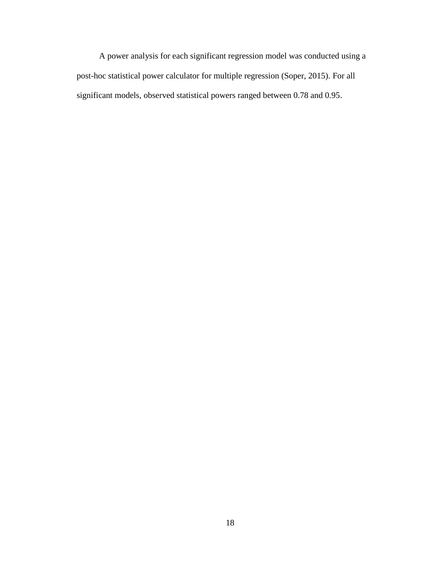A power analysis for each significant regression model was conducted using a post-hoc statistical power calculator for multiple regression (Soper, 2015). For all significant models, observed statistical powers ranged between 0.78 and 0.95.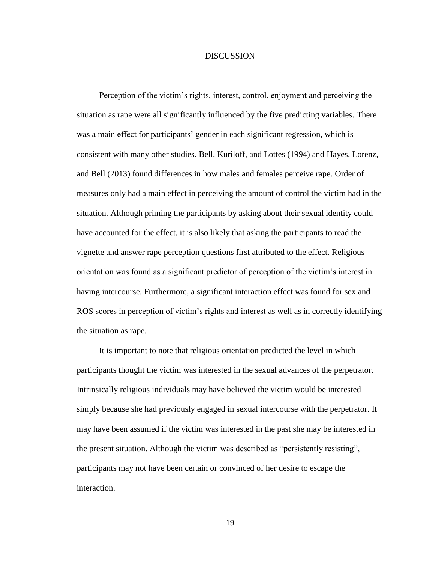#### **DISCUSSION**

Perception of the victim's rights, interest, control, enjoyment and perceiving the situation as rape were all significantly influenced by the five predicting variables. There was a main effect for participants' gender in each significant regression, which is consistent with many other studies. Bell, Kuriloff, and Lottes (1994) and Hayes, Lorenz, and Bell (2013) found differences in how males and females perceive rape. Order of measures only had a main effect in perceiving the amount of control the victim had in the situation. Although priming the participants by asking about their sexual identity could have accounted for the effect, it is also likely that asking the participants to read the vignette and answer rape perception questions first attributed to the effect. Religious orientation was found as a significant predictor of perception of the victim's interest in having intercourse. Furthermore, a significant interaction effect was found for sex and ROS scores in perception of victim's rights and interest as well as in correctly identifying the situation as rape.

It is important to note that religious orientation predicted the level in which participants thought the victim was interested in the sexual advances of the perpetrator. Intrinsically religious individuals may have believed the victim would be interested simply because she had previously engaged in sexual intercourse with the perpetrator. It may have been assumed if the victim was interested in the past she may be interested in the present situation. Although the victim was described as "persistently resisting", participants may not have been certain or convinced of her desire to escape the interaction.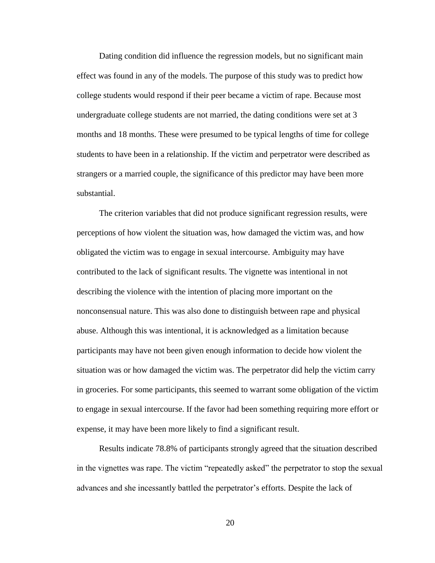Dating condition did influence the regression models, but no significant main effect was found in any of the models. The purpose of this study was to predict how college students would respond if their peer became a victim of rape. Because most undergraduate college students are not married, the dating conditions were set at 3 months and 18 months. These were presumed to be typical lengths of time for college students to have been in a relationship. If the victim and perpetrator were described as strangers or a married couple, the significance of this predictor may have been more substantial.

The criterion variables that did not produce significant regression results, were perceptions of how violent the situation was, how damaged the victim was, and how obligated the victim was to engage in sexual intercourse. Ambiguity may have contributed to the lack of significant results. The vignette was intentional in not describing the violence with the intention of placing more important on the nonconsensual nature. This was also done to distinguish between rape and physical abuse. Although this was intentional, it is acknowledged as a limitation because participants may have not been given enough information to decide how violent the situation was or how damaged the victim was. The perpetrator did help the victim carry in groceries. For some participants, this seemed to warrant some obligation of the victim to engage in sexual intercourse. If the favor had been something requiring more effort or expense, it may have been more likely to find a significant result.

Results indicate 78.8% of participants strongly agreed that the situation described in the vignettes was rape. The victim "repeatedly asked" the perpetrator to stop the sexual advances and she incessantly battled the perpetrator's efforts. Despite the lack of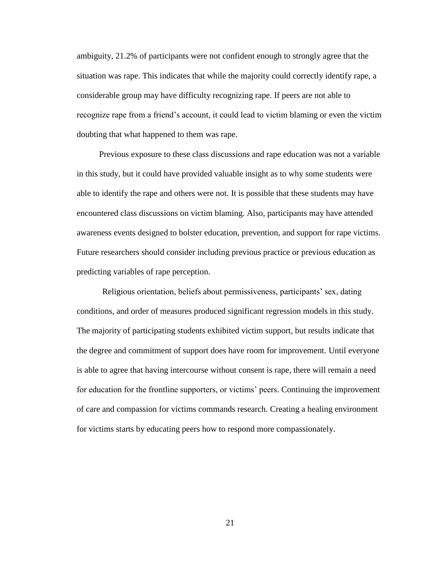ambiguity, 21.2% of participants were not confident enough to strongly agree that the situation was rape. This indicates that while the majority could correctly identify rape, a considerable group may have difficulty recognizing rape. If peers are not able to recognize rape from a friend's account, it could lead to victim blaming or even the victim doubting that what happened to them was rape.

Previous exposure to these class discussions and rape education was not a variable in this study, but it could have provided valuable insight as to why some students were able to identify the rape and others were not. It is possible that these students may have encountered class discussions on victim blaming. Also, participants may have attended awareness events designed to bolster education, prevention, and support for rape victims. Future researchers should consider including previous practice or previous education as predicting variables of rape perception.

Religious orientation, beliefs about permissiveness, participants' sex, dating conditions, and order of measures produced significant regression models in this study. The majority of participating students exhibited victim support, but results indicate that the degree and commitment of support does have room for improvement. Until everyone is able to agree that having intercourse without consent is rape, there will remain a need for education for the frontline supporters, or victims' peers. Continuing the improvement of care and compassion for victims commands research. Creating a healing environment for victims starts by educating peers how to respond more compassionately.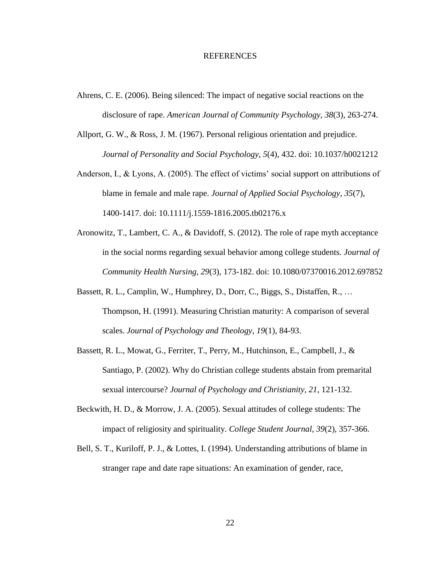#### REFERENCES

- Ahrens, C. E. (2006). Being silenced: The impact of negative social reactions on the disclosure of rape. *American Journal of Community Psychology*, *38*(3), 263-274.
- Allport, G. W., & Ross, J. M. (1967). Personal religious orientation and prejudice. *Journal of Personality and Social Psychology*, *5*(4), 432. doi: 10.1037/h0021212
- Anderson, I., & Lyons, A. (2005). The effect of victims' social support on attributions of blame in female and male rape. *Journal of Applied Social Psychology*, *35*(7), 1400-1417. doi: 10.1111/j.1559-1816.2005.tb02176.x
- Aronowitz, T., Lambert, C. A., & Davidoff, S. (2012). The role of rape myth acceptance in the social norms regarding sexual behavior among college students. *Journal of Community Health Nursing, 29*(3), 173-182. doi: 10.1080/07370016.2012.697852
- Bassett, R. L., Camplin, W., Humphrey, D., Dorr, C., Biggs, S., Distaffen, R., … Thompson, H. (1991). Measuring Christian maturity: A comparison of several scales. *Journal of Psychology and Theology*, *19*(1), 84-93.
- Bassett, R. L., Mowat, G., Ferriter, T., Perry, M., Hutchinson, E., Campbell, J., & Santiago, P. (2002). Why do Christian college students abstain from premarital sexual intercourse? *Journal of Psychology and Christianity, 21*, 121-132.
- Beckwith, H. D., & Morrow, J. A. (2005). Sexual attitudes of college students: The impact of religiosity and spirituality. *College Student Journal, 39*(2), 357-366.
- Bell, S. T., Kuriloff, P. J., & Lottes, I. (1994). Understanding attributions of blame in stranger rape and date rape situations: An examination of gender, race,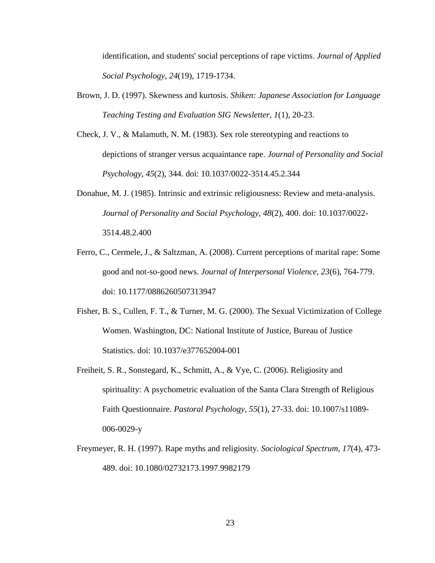identification, and students' social perceptions of rape victims. *Journal of Applied Social Psychology*, *24*(19), 1719-1734.

- Brown, J. D. (1997). Skewness and kurtosis. *Shiken: Japanese Association for Language Teaching Testing and Evaluation SIG Newsletter, 1*(1), 20-23.
- Check, J. V., & Malamuth, N. M. (1983). Sex role stereotyping and reactions to depictions of stranger versus acquaintance rape. *Journal of Personality and Social Psychology*, *45*(2), 344. doi: [10.1037/0022-3514.45.2.344](http://dx.doi.org/10.1037/0022-3514.45.2.344)
- Donahue, M. J. (1985). Intrinsic and extrinsic religiousness: Review and meta-analysis. *Journal of Personality and Social Psychology*, *48*(2), 400. doi: 10.1037/0022- 3514.48.2.400
- Ferro, C., Cermele, J., & Saltzman, A. (2008). Current perceptions of marital rape: Some good and not-so-good news. *Journal of Interpersonal Violence, 23*(6), 764-779. doi: 10.1177/0886260507313947
- Fisher, B. S., Cullen, F. T., & Turner, M. G. (2000). The Sexual Victimization of College Women. Washington, DC: National Institute of Justice, Bureau of Justice Statistics. doi: 10.1037/e377652004-001
- Freiheit, S. R., Sonstegard, K., Schmitt, A., & Vye, C. (2006). Religiosity and spirituality: A psychometric evaluation of the Santa Clara Strength of Religious Faith Questionnaire. *Pastoral Psychology*, *55*(1), 27-33. doi: 10.1007/s11089- 006-0029-y
- Freymeyer, R. H. (1997). Rape myths and religiosity. *Sociological Spectrum*, *17*(4), 473- 489. doi: 10.1080/02732173.1997.9982179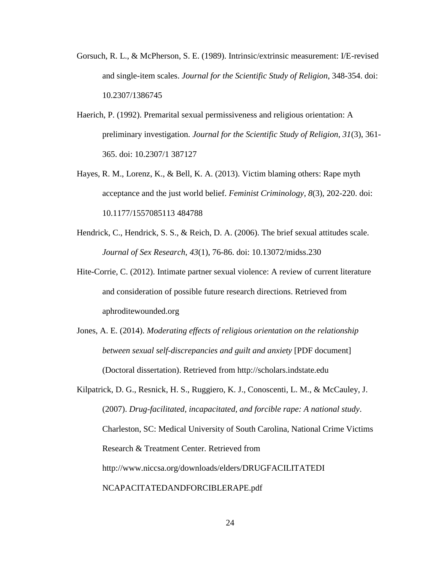- Gorsuch, R. L., & McPherson, S. E. (1989). Intrinsic/extrinsic measurement: I/E-revised and single-item scales. *Journal for the Scientific Study of Religion*, 348-354. doi: 10.2307/1386745
- Haerich, P. (1992). Premarital sexual permissiveness and religious orientation: A preliminary investigation. *Journal for the Scientific Study of Religion, 31*(3), 361- 365. doi: 10.2307/1 387127
- Hayes, R. M., Lorenz, K., & Bell, K. A. (2013). Victim blaming others: Rape myth acceptance and the just world belief. *Feminist Criminology*, *8*(3), 202-220. doi: 10.1177/1557085113 484788
- Hendrick, C., Hendrick, S. S., & Reich, D. A. (2006). The brief sexual attitudes scale. *Journal of Sex Research*, *43*(1), 76-86. doi: 10.13072/midss.230
- Hite-Corrie, C. (2012). Intimate partner sexual violence: A review of current literature and consideration of possible future research directions. Retrieved from aphroditewounded.org
- Jones, A. E. (2014). *Moderating effects of religious orientation on the relationship between sexual self-discrepancies and guilt and anxiety* [PDF document] (Doctoral dissertation). Retrieved from http://scholars.indstate.edu
- Kilpatrick, D. G., Resnick, H. S., Ruggiero, K. J., Conoscenti, L. M., & McCauley, J. (2007). *Drug-facilitated, incapacitated, and forcible rape: A national study*. Charleston, SC: Medical University of South Carolina, National Crime Victims Research & Treatment Center. Retrieved from http://www.niccsa.org/downloads/elders/DRUGFACILITATEDI NCAPACITATEDANDFORCIBLERAPE.pdf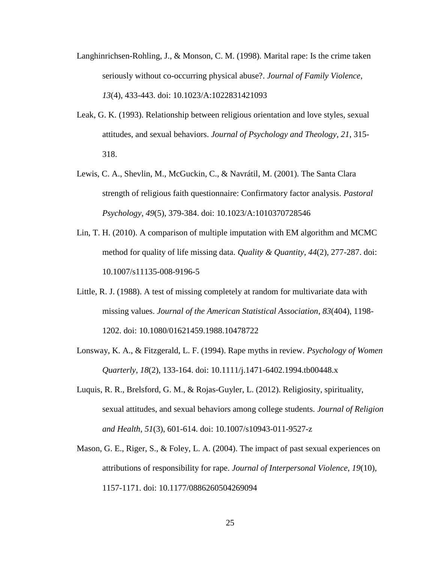- Langhinrichsen-Rohling, J., & Monson, C. M. (1998). Marital rape: Is the crime taken seriously without co-occurring physical abuse?. *Journal of Family Violence*, *13*(4), 433-443. doi: 10.1023/A:1022831421093
- Leak, G. K. (1993). Relationship between religious orientation and love styles, sexual attitudes, and sexual behaviors. *Journal of Psychology and Theology, 21*, 315- 318.
- Lewis, C. A., Shevlin, M., McGuckin, C., & Navrátil, M. (2001). The Santa Clara strength of religious faith questionnaire: Confirmatory factor analysis. *Pastoral Psychology*, *49*(5), 379-384. doi: 10.1023/A:1010370728546
- Lin, T. H. (2010). A comparison of multiple imputation with EM algorithm and MCMC method for quality of life missing data. *Quality & Quantity*, *44*(2), 277-287. doi: 10.1007/s11135-008-9196-5
- Little, R. J. (1988). A test of missing completely at random for multivariate data with missing values. *Journal of the American Statistical Association*, *83*(404), 1198- 1202. doi: 10.1080/01621459.1988.10478722
- Lonsway, K. A., & Fitzgerald, L. F. (1994). Rape myths in review. *Psychology of Women Quarterly*, *18*(2), 133-164. doi: 10.1111/j.1471-6402.1994.tb00448.x
- Luquis, R. R., Brelsford, G. M., & Rojas-Guyler, L. (2012). Religiosity, spirituality, sexual attitudes, and sexual behaviors among college students. *Journal of Religion and Health*, *51*(3), 601-614. doi: 10.1007/s10943-011-9527-z
- Mason, G. E., Riger, S., & Foley, L. A. (2004). The impact of past sexual experiences on attributions of responsibility for rape. *Journal of Interpersonal Violence*, *19*(10), 1157-1171. doi: 10.1177/0886260504269094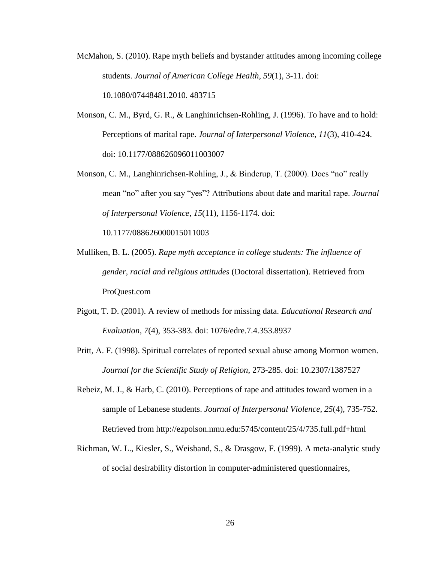- McMahon, S. (2010). Rape myth beliefs and bystander attitudes among incoming college students. *Journal of American College Health*, *59*(1), 3-11. doi: 10.1080/07448481.2010. 483715
- Monson, C. M., Byrd, G. R., & Langhinrichsen-Rohling, J. (1996). To have and to hold: Perceptions of marital rape. *Journal of Interpersonal Violence, 11*(3), 410-424. doi: [10.1177/088626096011003007](http://ezpolson.nmu.edu:5296/10.1177/088626096011003007)
- Monson, C. M., Langhinrichsen-Rohling, J., & Binderup, T. (2000). Does "no" really mean "no" after you say "yes"? Attributions about date and marital rape. *Journal of Interpersonal Violence*, *15*(11), 1156-1174. [doi:](http://dx.doi.org/10.1177/088626000015011003)

[10.1177/088626000015011003](http://dx.doi.org/10.1177/088626000015011003)

- Mulliken, B. L. (2005). *Rape myth acceptance in college students: The influence of gender, racial and religious attitudes* (Doctoral dissertation). Retrieved from ProQuest.com
- Pigott, T. D. (2001). A review of methods for missing data. *Educational Research and Evaluation*, *7*(4), 353-383. doi: 1076/edre.7.4.353.8937
- Pritt, A. F. (1998). Spiritual correlates of reported sexual abuse among Mormon women. *Journal for the Scientific Study of Religion*, 273-285. doi: 10.2307/1387527
- Rebeiz, M. J., & Harb, C. (2010). Perceptions of rape and attitudes toward women in a sample of Lebanese students. *Journal of Interpersonal Violence*, *25*(4), 735-752. Retrieved from http://ezpolson.nmu.edu:5745/content/25/4/735.full.pdf+html
- Richman, W. L., Kiesler, S., Weisband, S., & Drasgow, F. (1999). A meta-analytic study of social desirability distortion in computer-administered questionnaires,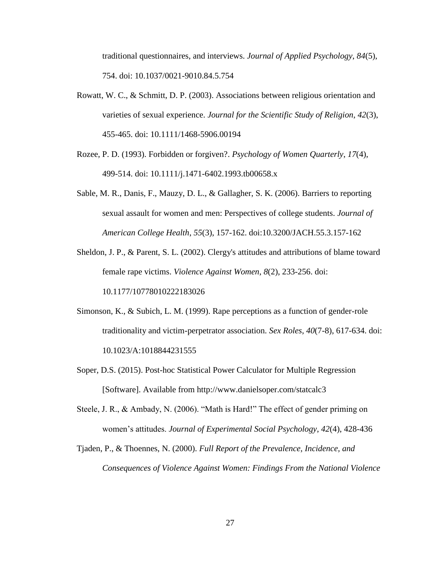traditional questionnaires, and interviews. *Journal of Applied Psychology*, *84*(5), 754. doi: 10.1037/0021-9010.84.5.754

- Rowatt, W. C., & Schmitt, D. P. (2003). Associations between religious orientation and varieties of sexual experience. *Journal for the Scientific Study of Religion*, *42*(3), 455-465. doi: 10.1111/1468-5906.00194
- Rozee, P. D. (1993). Forbidden or forgiven?. *Psychology of Women Quarterly*, *17*(4), 499-514. doi: 10.1111/j.1471-6402.1993.tb00658.x
- Sable, M. R., Danis, F., Mauzy, D. L., & Gallagher, S. K. (2006). Barriers to reporting sexual assault for women and men: Perspectives of college students. *Journal of American College Health*, *55*(3), 157-162. doi:10.3200/JACH.55.3.157-162
- Sheldon, J. P., & Parent, S. L. (2002). Clergy's attitudes and attributions of blame toward female rape victims. *Violence Against Women*, *8*(2), 233-256. doi: 10.1177/10778010222183026
- Simonson, K., & Subich, L. M. (1999). Rape perceptions as a function of gender-role traditionality and victim-perpetrator association. *Sex Roles*, *40*(7-8), 617-634. doi: 10.1023/A:1018844231555
- Soper, D.S. (2015). Post-hoc Statistical Power Calculator for Multiple Regression [Software]. Available from http://www.danielsoper.com/statcalc3
- Steele, J. R., & Ambady, N. (2006). "Math is Hard!" The effect of gender priming on women's attitudes. *Journal of Experimental Social Psychology*, *42*(4), 428-436
- Tjaden, P., & Thoennes, N. (2000). *Full Report of the Prevalence, Incidence, and Consequences of Violence Against Women: Findings From the National Violence*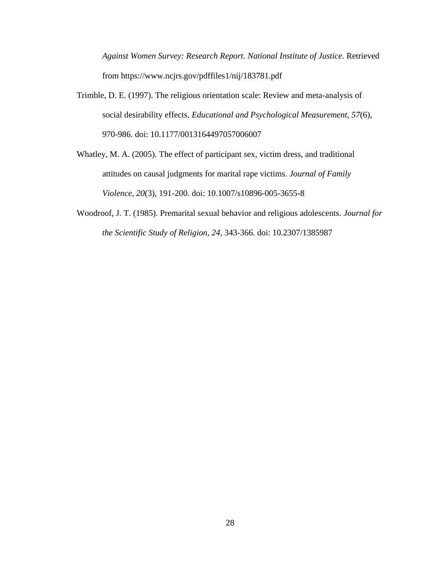*Against Women Survey: Research Report. National Institute of Justice*. Retrieved from https://www.ncjrs.gov/pdffiles1/nij/183781.pdf

- Trimble, D. E. (1997). The religious orientation scale: Review and meta-analysis of social desirability effects. *Educational and Psychological Measurement, 57*(6), 970-986. doi: 10.1177/0013164497057006007
- Whatley, M. A. (2005). The effect of participant sex, victim dress, and traditional attitudes on causal judgments for marital rape victims. *Journal of Family Violence*, *20*(3), 191-200. doi: 10.1007/s10896-005-3655-8
- Woodroof, J. T. (1985). Premarital sexual behavior and religious adolescents. *Journal for the Scientific Study of Religion, 24*, 343-366. doi: 10.2307/1385987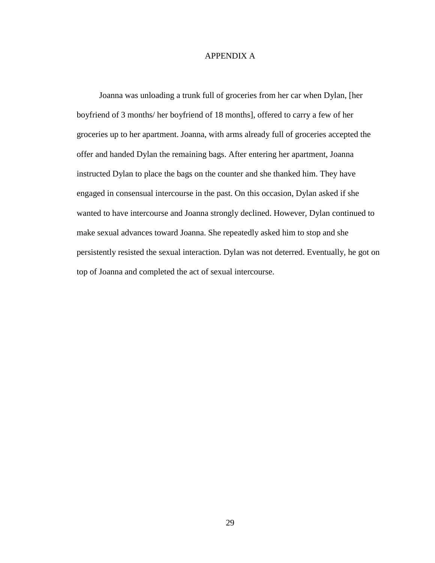#### APPENDIX A

Joanna was unloading a trunk full of groceries from her car when Dylan, [her boyfriend of 3 months/ her boyfriend of 18 months], offered to carry a few of her groceries up to her apartment. Joanna, with arms already full of groceries accepted the offer and handed Dylan the remaining bags. After entering her apartment, Joanna instructed Dylan to place the bags on the counter and she thanked him. They have engaged in consensual intercourse in the past. On this occasion, Dylan asked if she wanted to have intercourse and Joanna strongly declined. However, Dylan continued to make sexual advances toward Joanna. She repeatedly asked him to stop and she persistently resisted the sexual interaction. Dylan was not deterred. Eventually, he got on top of Joanna and completed the act of sexual intercourse.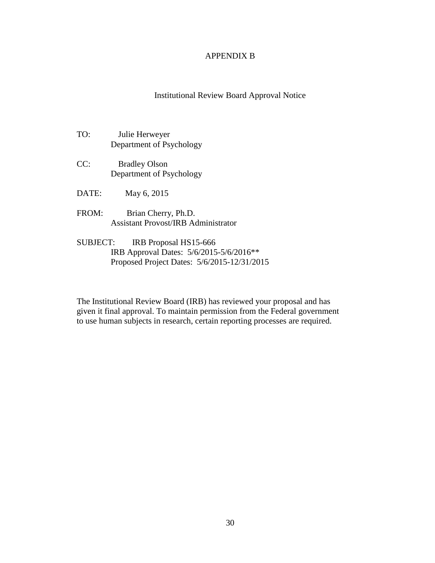#### APPENDIX B

Institutional Review Board Approval Notice

- TO: Julie Herweyer Department of Psychology
- CC: Bradley Olson Department of Psychology
- DATE: May 6, 2015
- FROM: Brian Cherry, Ph.D. Assistant Provost/IRB Administrator
- SUBJECT: IRB Proposal HS15-666 IRB Approval Dates: 5/6/2015-5/6/2016\*\* Proposed Project Dates: 5/6/2015-12/31/2015

The Institutional Review Board (IRB) has reviewed your proposal and has given it final approval. To maintain permission from the Federal government to use human subjects in research, certain reporting processes are required.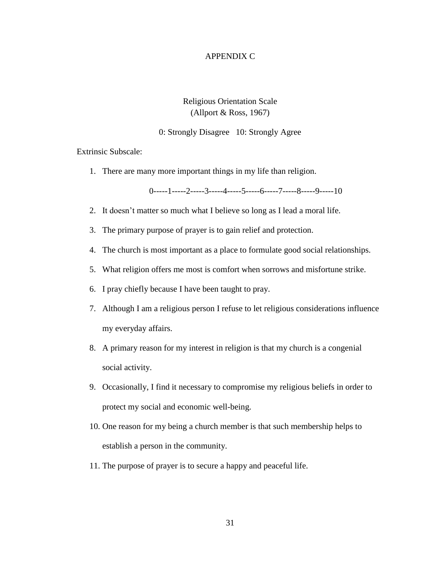#### APPENDIX C

## Religious Orientation Scale (Allport & Ross, 1967)

#### 0: Strongly Disagree 10: Strongly Agree

Extrinsic Subscale:

1. There are many more important things in my life than religion.

 $0$ -----1-----2-----3-----4-----5-----6-----7-----8-----9-----10

- 2. It doesn't matter so much what I believe so long as I lead a moral life.
- 3. The primary purpose of prayer is to gain relief and protection.
- 4. The church is most important as a place to formulate good social relationships.
- 5. What religion offers me most is comfort when sorrows and misfortune strike.
- 6. I pray chiefly because I have been taught to pray.
- 7. Although I am a religious person I refuse to let religious considerations influence my everyday affairs.
- 8. A primary reason for my interest in religion is that my church is a congenial social activity.
- 9. Occasionally, I find it necessary to compromise my religious beliefs in order to protect my social and economic well-being.
- 10. One reason for my being a church member is that such membership helps to establish a person in the community.
- 11. The purpose of prayer is to secure a happy and peaceful life.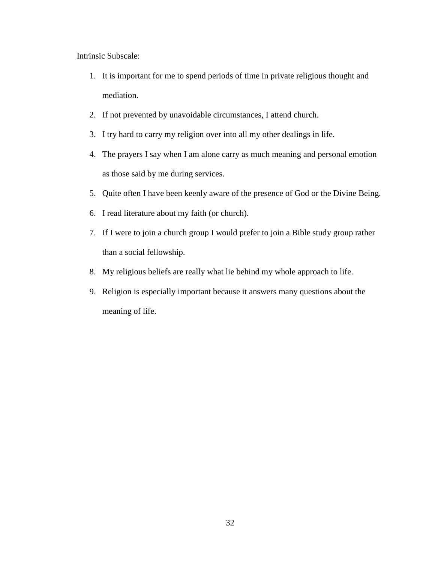Intrinsic Subscale:

- 1. It is important for me to spend periods of time in private religious thought and mediation.
- 2. If not prevented by unavoidable circumstances, I attend church.
- 3. I try hard to carry my religion over into all my other dealings in life.
- 4. The prayers I say when I am alone carry as much meaning and personal emotion as those said by me during services.
- 5. Quite often I have been keenly aware of the presence of God or the Divine Being.
- 6. I read literature about my faith (or church).
- 7. If I were to join a church group I would prefer to join a Bible study group rather than a social fellowship.
- 8. My religious beliefs are really what lie behind my whole approach to life.
- 9. Religion is especially important because it answers many questions about the meaning of life.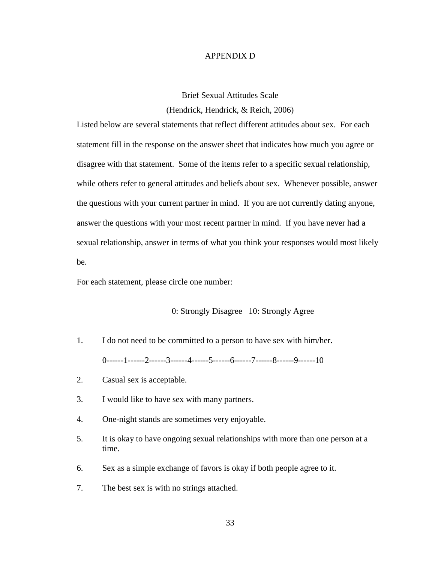#### APPENDIX D

Brief Sexual Attitudes Scale (Hendrick, Hendrick, & Reich, 2006)

Listed below are several statements that reflect different attitudes about sex. For each statement fill in the response on the answer sheet that indicates how much you agree or disagree with that statement. Some of the items refer to a specific sexual relationship, while others refer to general attitudes and beliefs about sex. Whenever possible, answer the questions with your current partner in mind. If you are not currently dating anyone, answer the questions with your most recent partner in mind. If you have never had a sexual relationship, answer in terms of what you think your responses would most likely be.

For each statement, please circle one number:

#### 0: Strongly Disagree 10: Strongly Agree

- 1. I do not need to be committed to a person to have sex with him/her. 0------1------2------3------4------5------6------7------8------9------10
- 2. Casual sex is acceptable.
- 3. I would like to have sex with many partners.
- 4. One-night stands are sometimes very enjoyable.
- 5. It is okay to have ongoing sexual relationships with more than one person at a time.
- 6. Sex as a simple exchange of favors is okay if both people agree to it.
- 7. The best sex is with no strings attached.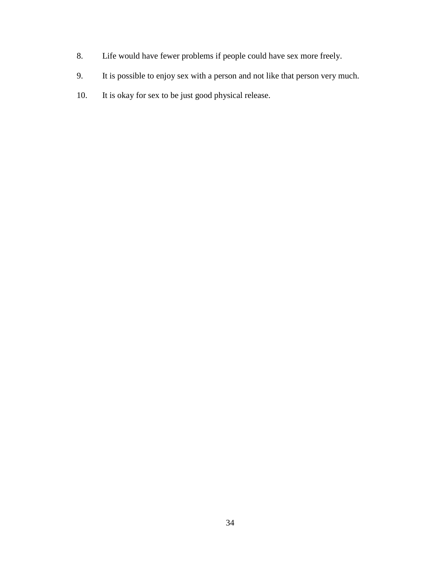- 8. Life would have fewer problems if people could have sex more freely.
- 9. It is possible to enjoy sex with a person and not like that person very much.
- 10. It is okay for sex to be just good physical release.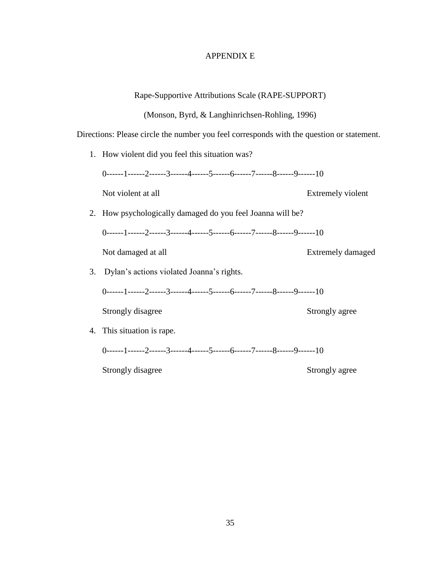## APPENDIX E

|    | Directions: Please circle the number you feel corresponds with the question or statement. |                   |
|----|-------------------------------------------------------------------------------------------|-------------------|
|    | 1. How violent did you feel this situation was?                                           |                   |
|    | $0$ ------1------2-----3-----4-----5------6-----7-----8-----9------10                     |                   |
|    | Not violent at all                                                                        | Extremely violent |
|    | 2. How psychologically damaged do you feel Joanna will be?                                |                   |
|    | $0$ ------1------2-----3------4------5------6-----7------8------9------10                 |                   |
|    | Not damaged at all                                                                        | Extremely damaged |
| 3. | Dylan's actions violated Joanna's rights.                                                 |                   |
|    | $0$ ------1------2-----3-----4-----5------6-----7-----8-----9------10                     |                   |
|    | Strongly disagree                                                                         | Strongly agree    |
|    | 4. This situation is rape.                                                                |                   |
|    | $0$ ------1-----2------3------4------5------6------7------8-----9------10                 |                   |
|    | Strongly disagree                                                                         | Strongly agree    |

Rape-Supportive Attributions Scale (RAPE-SUPPORT)

(Monson, Byrd, & Langhinrichsen-Rohling, 1996)